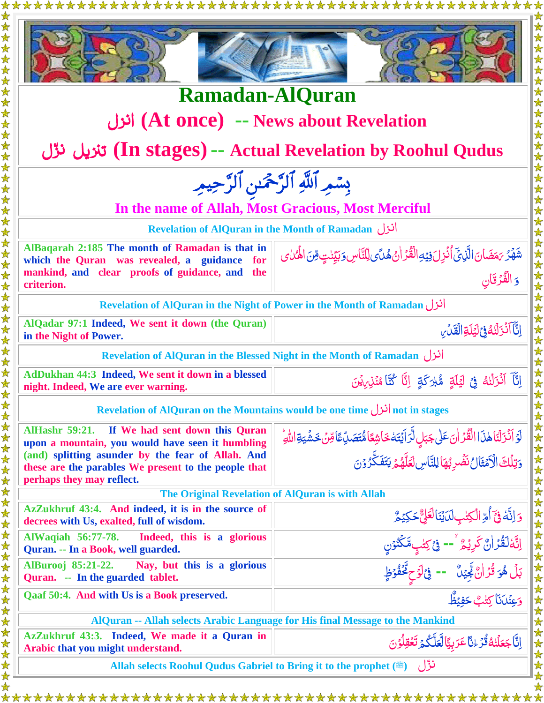| <b>Ramadan-AlQuran</b><br>انزل (At once) -- News about Revelation                                 |                                                                                                                                          |
|---------------------------------------------------------------------------------------------------|------------------------------------------------------------------------------------------------------------------------------------------|
| تنزيل نوّل (In stages) -- Actual Revelation by Roohul Qudus                                       |                                                                                                                                          |
| بِسْمِرِ ٱللَّهِ ٱلرَّحْمَٰنِ ٱلرَّحِيمِ                                                          |                                                                                                                                          |
| In the name of Allah, Most Gracious, Most Merciful                                                |                                                                                                                                          |
| <b>Revelation of AlQuran in the Month of Ramadan</b>                                              |                                                                                                                                          |
| AlBaqarah 2:185 The month of Ramadan is that in<br>which the Quran was revealed, a guidance for   | ۺَّهُرُ بَمَضَانَ الَّذِيَّ أُنُزِلَ فِيۡهِ الۡقُرۡ اٰنُ هُلَّى لِّلَّنَّاسِ وَبَيِّنْتٍ مِّنَ الْهُمٰاى<br>وَ الۡقُرۡقَانِ              |
| mankind, and clear proofs of guidance, and the<br>criterion.                                      |                                                                                                                                          |
| <b>Revelation of AlQuran in the Night of Power in the Month of Ramadan</b>                        |                                                                                                                                          |
| AlQadar 97:1 Indeed, We sent it down (the Quran)<br>in the Night of Power.                        | إِنَّا أَنْزَلْنَٰهُ فِي لِيَلَةِ الْقَدْسِ                                                                                              |
| <b>Revelation of AlQuran in the Blessed Night in the Month of Ramadan</b>                         |                                                                                                                                          |
| AdDukhan 44:3 Indeed, We sent it down in a blessed<br>night. Indeed, We are ever warning.         | إِنَّآ ٱنۡزَلۡنُهُ ۚ فِيۡ لَيۡلَةٍ ۚ مُّبۡرَكَةٍ ۚ إِنَّا كُنَّا مُنۡزِيۡنَ ۖ                                                            |
| not in stages انزل not in stages انزل not in stages                                               |                                                                                                                                          |
| AlHashr 59:21. If We had sent down this Quran<br>upon a mountain, you would have seen it humbling |                                                                                                                                          |
| (and) splitting asunder by the fear of Allah. And                                                 | ڶۘۯٙٲۮ۬ۯڷٲڶۿڶؘٳٳڷڦٛۯٳڶٮۧٵۣٚڿڹڸٟڶٞڗٳؘؿؘۜؾؘڂٵۺؚڠٲۿ۠ؾؘڞۜڷؚٵٙڡؚۨڽ۫ڂۺؘٛؾۊٳڵڵ <i>ۊۨ</i><br>ۯؾؚڷڶڰٙٳڷۯۧ؞ٛٙؿٙٲڵٮؘٛڞٛڔؠ۠ۿٲڸڵؾٞٲڛڶؘۼڷۿؽ۬ؠؾڡٛٙػؖۯۯڹ |
| these are the parables We present to the people that<br>perhaps they may reflect.                 |                                                                                                                                          |
| The Original Revelation of AlQuran is with Allah                                                  |                                                                                                                                          |
| AzZukhruf 43:4. And indeed, it is in the source of<br>decrees with Us, exalted, full of wisdom.   |                                                                                                                                          |
| AlWaqiah 56:77-78.<br>Indeed, this is a glorious<br>Quran. -- In a Book, well guarded.            | وَ اِنَّهٗ فِیۡٓ اُمِّ الۡکِتٰبِلَایَٰٓنَالۡعَلِیٌّحَکِیۡمَّ<br>اِنَّهٗلۡقُدۡ اٰنَّ کَرِیۡمٌ ۚ -- فِیۡ کِتٰبٍمَّکۡنُوۡنِ                 |
| <b>AlBurooj</b> 85:21-22.<br>Nay, but this is a glorious<br>Quran. -- In the guarded tablet.      |                                                                                                                                          |
| Qaaf 50:4. And with Us is a Book preserved.                                                       | بَلۡ هُوَ قُرۡانٌ بِۗٓئِيۡنَ ۚ == فِیۡاٰوۡحٍ مِّۡفُوۡظٍ<br>وَعِنۡدَنَا کِتٰلبٌ حَفِیۡظٌ                                                  |
| AlQuran -- Allah selects Arabic Language for His final Message to the Mankind                     |                                                                                                                                          |
| AzZukhruf 43:3. Indeed, We made it a Quran in                                                     | اِنَّا جَعَلْنٰهُ قُرَّ ءٰنَّا عَرَبِيًّا لَّعَلَّكُمْ تَعُقِلُوْنَ                                                                      |
| Arabic that you might understand.                                                                 |                                                                                                                                          |
| نزّل (ﷺ) Allah selects Roohul Qudus Gabriel to Bring it to the prophet                            |                                                                                                                                          |